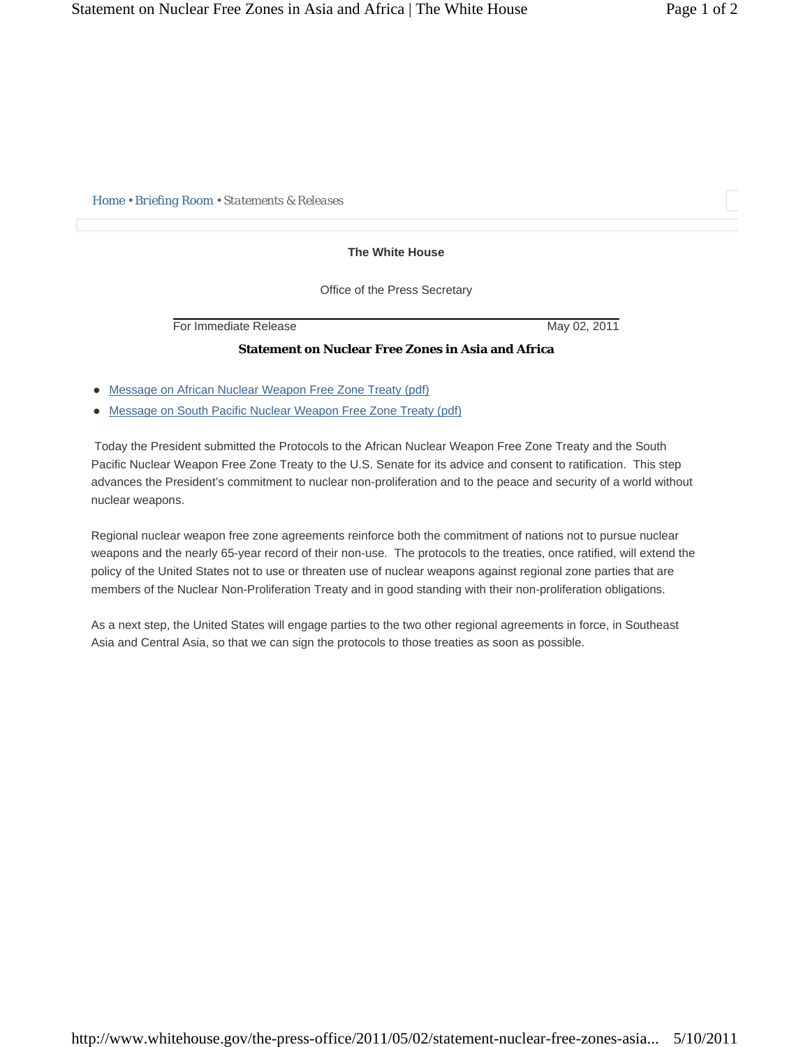*Home • Briefing Room • Statements & Releases* 

## **The White House**

Office of the Press Secretary

For Immediate Release May 02, 2011

## **Statement on Nuclear Free Zones in Asia and Africa**

- Message on African Nuclear Weapon Free Zone Treaty (pdf)
- [Message on South Pacific Nuclear Weapon Free Zone Treaty \(pdf\)](#page-3-0)

 Today the President submitted the Protocols to the African Nuclear Weapon Free Zone Treaty and the South Pacific Nuclear Weapon Free Zone Treaty to the U.S. Senate for its advice and consent to ratification. This step advances the President's commitment to nuclear non-proliferation and to the peace and security of a world without nuclear weapons.

Regional nuclear weapon free zone agreements reinforce both the commitment of nations not to pursue nuclear weapons and the nearly 65-year record of their non-use. The protocols to the treaties, once ratified, will extend the policy of the United States not to use or threaten use of nuclear weapons against regional zone parties that are members of the Nuclear Non-Proliferation Treaty and in good standing with their non-proliferation obligations.

As a next step, the United States will engage parties to the two other regional agreements in force, in Southeast Asia and Central Asia, so that we can sign the protocols to those treaties as soon as possible.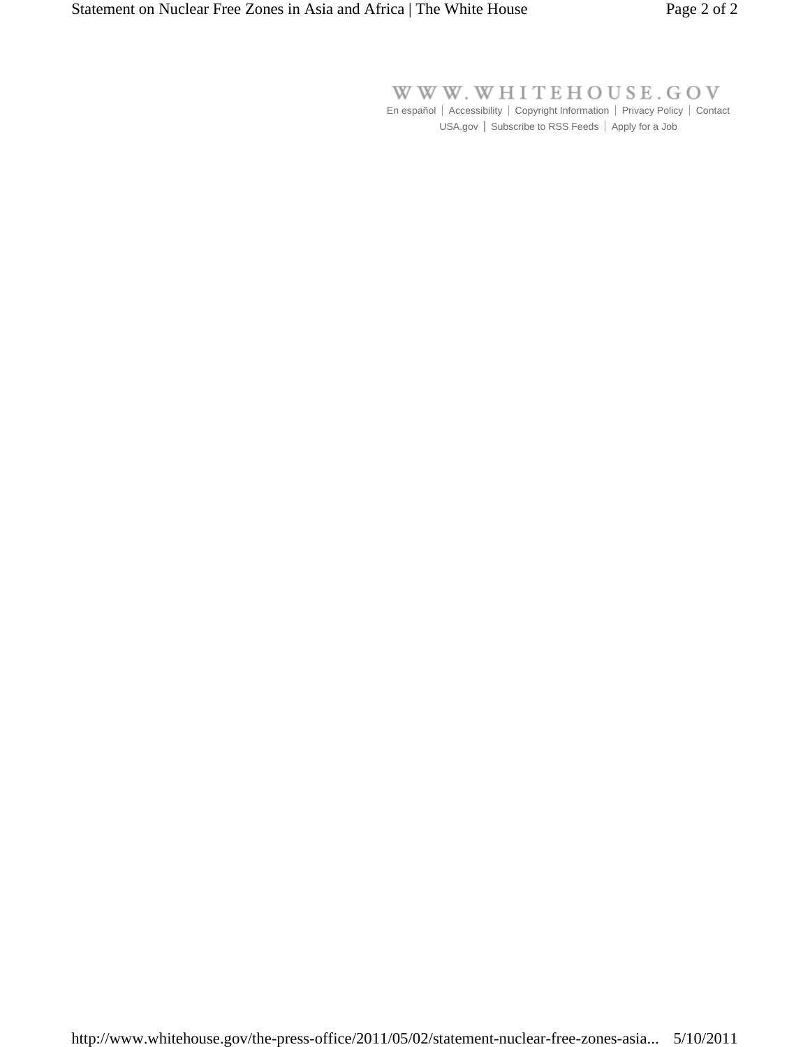WWW.WHITEHOUSE.GOV

En español | Accessibility | Copyright Information | Privacy Policy | Contact USA.gov | Subscribe to RSS Feeds | Apply for a Job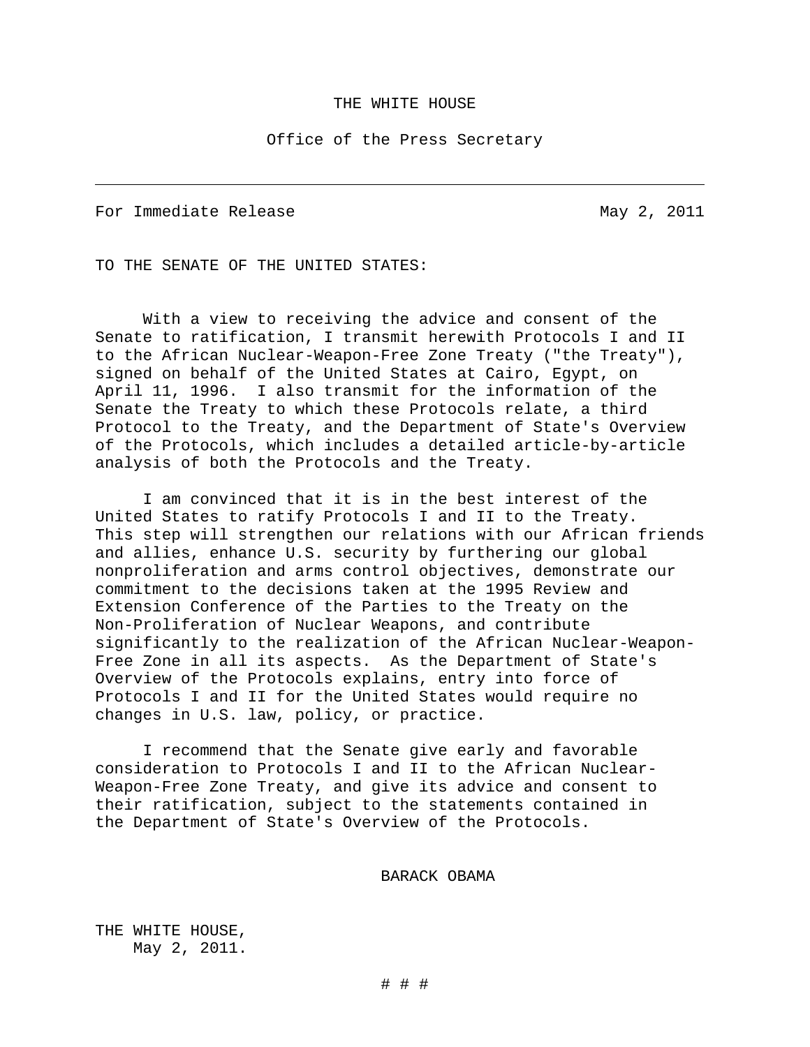#### THE WHITE HOUSE

### Office of the Press Secretary

For Immediate Release and May 2, 2011

<span id="page-2-0"></span> $\overline{\phantom{0}}$ 

TO THE SENATE OF THE UNITED STATES:

With a view to receiving the advice and consent of the Senate to ratification, I transmit herewith Protocols I and II to the African Nuclear-Weapon-Free Zone Treaty ("the Treaty"), signed on behalf of the United States at Cairo, Egypt, on April 11, 1996. I also transmit for the information of the Senate the Treaty to which these Protocols relate, a third Protocol to the Treaty, and the Department of State's Overview of the Protocols, which includes a detailed article-by-article analysis of both the Protocols and the Treaty.

I am convinced that it is in the best interest of the United States to ratify Protocols I and II to the Treaty. This step will strengthen our relations with our African friends and allies, enhance U.S. security by furthering our global nonproliferation and arms control objectives, demonstrate our commitment to the decisions taken at the 1995 Review and Extension Conference of the Parties to the Treaty on the Non-Proliferation of Nuclear Weapons, and contribute significantly to the realization of the African Nuclear-Weapon-Free Zone in all its aspects. As the Department of State's Overview of the Protocols explains, entry into force of Protocols I and II for the United States would require no changes in U.S. law, policy, or practice.

I recommend that the Senate give early and favorable consideration to Protocols I and II to the African Nuclear-Weapon-Free Zone Treaty, and give its advice and consent to their ratification, subject to the statements contained in the Department of State's Overview of the Protocols.

# BARACK OBAMA

THE WHITE HOUSE, May 2, 2011.